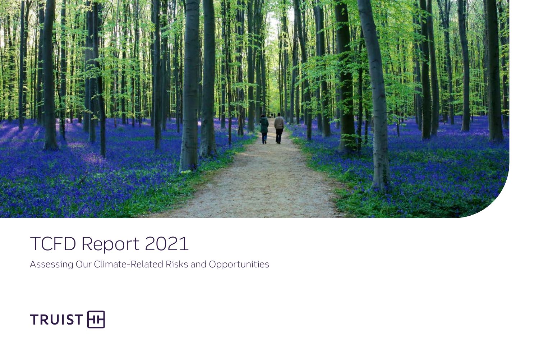

## TCFD Report 2021

Assessing Our Climate-Related Risks and Opportunities

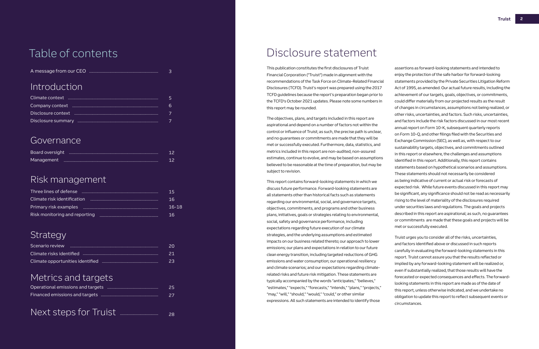## Disclosure statement

assertions as forward-looking statements and intended to enjoy the protection of the safe harbor for forward-looking statements provided by the Private Securities Litigation Reform Act of 1995, as amended. Our actual future results, including the achievement of our targets, goals, objectives, or commitments, could differ materially from our projected results as the result of changes in circumstances, assumptions not being realized, or other risks, uncertainties, and factors. Such risks, uncertainties, and factors include the risk factors discussed in our most recent annual report on Form 10-K, subsequent quarterly reports on Form 10-Q, and other filings filed with the Securities and Exchange Commission (SEC), as well as, with respect to our sustainability targets, objectives, and commitments outlined in this report or elsewhere, the challenges and assumptions identified in this report. Additionally, this report contains statements based on hypothetical scenarios and assumptions. These statements should not necessarily be considered as being indicative of current or actual risk or forecasts of expected risk. While future events discussed in this report may be significant, any significance should not be read as necessarily rising to the level of materiality of the disclosures required under securities laws and regulations. The goals and projects described in this report are aspirational; as such, no guarantees or commitments are made that these goals and projects will be met or successfully executed.

Truist urges you to consider all of the risks, uncertainties, and factors identified above or discussed in such reports carefully in evaluating the forward-looking statements in this report. Truist cannot assure you that the results reflected or implied by any forward-looking statement will be realized or, even if substantially realized, that those results will have the forecasted or expected consequences and effects. The forwardlooking statements in this report are made as of the date of this report, unless otherwise indicated, and we undertake no obligation to update this report to reflect subsequent events or circumstances.

| 6 |
|---|
|   |
|   |

|              | 3  |
|--------------|----|
| Introduction |    |
|              | 5  |
|              | 6  |
|              | 7  |
|              |    |
|              |    |
| Governance   |    |
|              | 12 |
|              | 12 |

This publication constitutes the first disclosures of Truist Financial Corporation ("Truist") made in alignment with the recommendations of the Task Force on Climate-Related Financial Disclosures (TCFD). Truist's report was prepared using the 2017 TCFD guidelines because the report's preparation began prior to the TCFD's October 2021 updates. Please note some numbers in this report may be rounded.

The objectives, plans, and targets included in this report are aspirational and depend on a number of factors not within the control or influence of Truist; as such, the precise path is unclear, and no guarantees or commitments are made that they will be met or successfully executed. Furthermore, data, statistics, and metrics included in this report are non-audited, non-assured estimates, continue to evolve, and may be based on assumptions believed to be reasonable at the time of preparation, but may be subject to revision.

|--|--|--|

This report contains forward-looking statements in which we discuss future performance. Forward-looking statements are all statements other than historical facts such as statements regarding our environmental, social, and governance targets, objectives, commitments, and programs and other business plans, initiatives, goals or strategies relating to environmental, social, safety and governance performance, including expectations regarding future execution of our climate strategies, and the underlying assumptions and estimated impacts on our business related thereto; our approach to lower emissions; our plans and expectations in relation to our future clean energy transition, including targeted reductions of GHG emissions and water consumption; our operational resiliency and climate scenarios; and our expectations regarding climaterelated risks and future risk mitigation. These statements are typically accompanied by the words "anticipates," "believes," "estimates," "expects," "forecasts," "intends," "plans," "projects," "may," "will," "should," "would," "could," or other similar expressions. All such statements are intended to identify those

## Introduction

## Governance

## Risk management

## Strategy

## Metrics and targets

| Next steps for Truist |  |  |
|-----------------------|--|--|
|                       |  |  |

| Scenario review | 20 |
|-----------------|----|
|                 | 21 |
|                 | 23 |

| Three lines of defense        | -15    |
|-------------------------------|--------|
| Climate risk identification   | 16     |
|                               | -16-18 |
| Risk monitoring and reporting | 16     |

| 25   |
|------|
| - 27 |
|      |

28

## Table of contents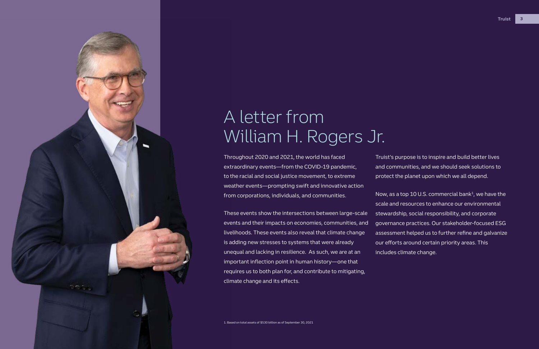

Throughout 2020 and 2021, the world has faced extraordinary events—from the COVID-19 pandemic, to the racial and social justice movement, to extreme weather events—prompting swift and innovative action from corporations, individuals, and communities.

These events show the intersections between large-scale

events and their impacts on economies, communities, and livelihoods. These events also reveal that climate change is adding new stresses to systems that were already unequal and lacking in resilience. As such, we are at an important inflection point in human history—one that requires us to both plan for, and contribute to mitigating, climate change and its effects.

Now, as a top 10 U.S. commercial bank<sup>1</sup>, we have the scale and resources to enhance our environmental stewardship, social responsibility, and corporate governance practices. Our stakeholder-focused ESG assessment helped us to further refine and galvanize our efforts around certain priority areas. This includes climate change.

## A letter from William H. Rogers Jr.

Truist's purpose is to inspire and build better lives and communities, and we should seek solutions to protect the planet upon which we all depend.

1. Based on total assets of \$530 billion as of September 30, 2021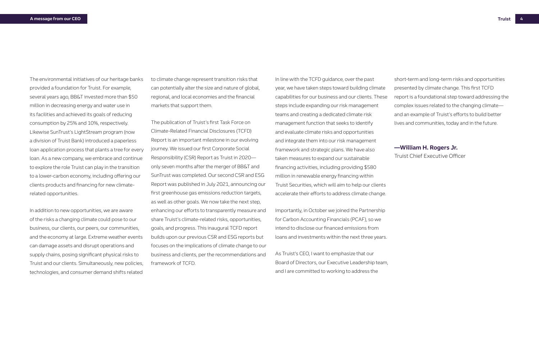In line with the TCFD guidance, over the past year, we have taken steps toward building climate capabilities for our business and our clients. These steps include expanding our risk management teams and creating a dedicated climate risk management function that seeks to identify and evaluate climate risks and opportunities and integrate them into our risk management framework and strategic plans. We have also taken measures to expand our sustainable financing activities, including providing \$580 million in renewable energy financing within Truist Securities, which will aim to help our clients accelerate their efforts to address climate change.

Importantly, in October we joined the Partnership for Carbon Accounting Financials (PCAF), so we intend to disclose our financed emissions from loans and investments within the next three years.

As Truist's CEO, I want to emphasize that our Board of Directors, our Executive Leadership team, and I are committed to working to address the

short-term and long-term risks and opportunities presented by climate change. This first TCFD report is a foundational step toward addressing the complex issues related to the changing climate and an example of Truist's efforts to build better lives and communities, today and in the future.

### **—William H. Rogers Jr.**

Truist Chief Executive Officer

to climate change represent transition risks that can potentially alter the size and nature of global, regional, and local economies and the financial markets that support them.

The publication of Truist's first Task Force on Climate-Related Financial Disclosures (TCFD) Report is an important milestone in our evolving journey. We issued our first Corporate Social Responsibility (CSR) Report as Truist in 2020 only seven months after the merger of BB&T and SunTrust was completed. Our second CSR and ESG Report was published in July 2021, announcing our first greenhouse gas emissions reduction targets, as well as other goals. We now take the next step, enhancing our efforts to transparently measure and share Truist's climate-related risks, opportunities, goals, and progress. This inaugural TCFD report builds upon our previous CSR and ESG reports but focuses on the implications of climate change to our business and clients, per the recommendations and framework of TCFD.

The environmental initiatives of our heritage banks provided a foundation for Truist. For example, several years ago, BB&T invested more than \$50 million in decreasing energy and water use in its facilities and achieved its goals of reducing consumption by 25% and 10%, respectively. Likewise SunTrust's LightStream program (now a division of Truist Bank) introduced a paperless loan application process that plants a tree for every loan. As a new company, we embrace and continue to explore the role Truist can play in the transition to a lower-carbon economy, including offering our clients products and financing for new climaterelated opportunities.

In addition to new opportunities, we are aware of the risks a changing climate could pose to our business, our clients, our peers, our communities, and the economy at large. Extreme weather events can damage assets and disrupt operations and supply chains, posing significant physical risks to Truist and our clients. Simultaneously, new policies, technologies, and consumer demand shifts related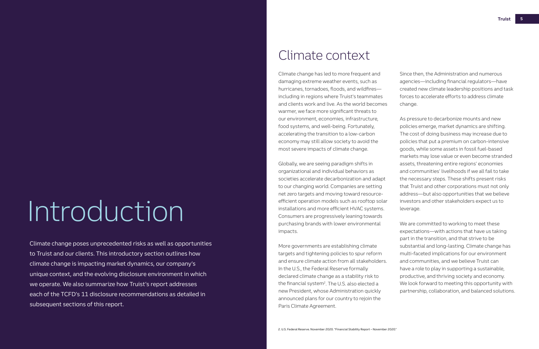# Introduction

Climate change poses unprecedented risks as well as opportunities to Truist and our clients. This introductory section outlines how climate change is impacting market dynamics, our company's unique context, and the evolving disclosure environment in which we operate. We also summarize how Truist's report addresses each of the TCFD's 11 disclosure recommendations as detailed in subsequent sections of this report.

## Climate context

Climate change has led to more frequent and damaging extreme weather events, such as hurricanes, tornadoes, floods, and wildfires including in regions where Truist's teammates and clients work and live. As the world becomes warmer, we face more significant threats to our environment, economies, infrastructure, food systems, and well-being. Fortunately, accelerating the transition to a low-carbon economy may still allow society to avoid the most severe impacts of climate change.

Globally, we are seeing paradigm shifts in organizational and individual behaviors as societies accelerate decarbonization and adapt to our changing world. Companies are setting net zero targets and moving toward resourceefficient operation models such as rooftop solar installations and more efficient HVAC systems. Consumers are progressively leaning towards purchasing brands with lower environmental impacts.

More governments are establishing climate targets and tightening policies to spur reform and ensure climate action from all stakeholders. In the U.S., the Federal Reserve formally declared climate change as a stability risk to the financial system<sup>2</sup>. The U.S. also elected a new President, whose Administration quickly announced plans for our country to rejoin the Paris Climate Agreement.

Since then, the Administration and numerous agencies—including financial regulators—have created new climate leadership positions and task forces to accelerate efforts to address climate change.

As pressure to decarbonize mounts and new policies emerge, market dynamics are shifting. The cost of doing business may increase due to policies that put a premium on carbon-intensive goods, while some assets in fossil fuel-based markets may lose value or even become stranded assets, threatening entire regions' economies and communities' livelihoods if we all fail to take the necessary steps. These shifts present risks that Truist and other corporations must not only address—but also opportunities that we believe investors and other stakeholders expect us to leverage.

We are committed to working to meet these expectations—with actions that have us taking part in the transition, and that strive to be substantial and long-lasting. Climate change has multi-faceted implications for our environment and communities, and we believe Truist can have a role to play in supporting a sustainable, productive, and thriving society and economy. We look forward to meeting this opportunity with partnership, collaboration, and balanced solutions.

2. U.S. Federal Reserve. November 2020. "Financial Stability Report – November 2020."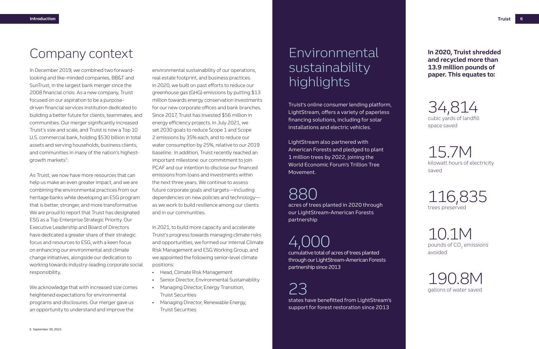Truist's online consumer lending platform, LightStream, offers a variety of paperless financing solutions, including for solar installations and electric vehicles.

LightStream also partnered with American Forests and pledged to plant 1 million trees by 2022, joining the World Economic Forum's Trillion Tree Movement.

## 880

acres of trees planted in 2020 through our LightStream-American Forests partnership

## 4,000

In December 2019, we combined two forwardlooking and like-minded companies, BB&T and SunTrust, in the largest bank merger since the 2008 financial crisis. As a new company, Truist focused on our aspiration to be a purposedriven financial services institution dedicated to building a better future for clients, teammates, and communities. Our merger significantly increased Truist's size and scale, and Truist is now a Top 10 U.S. commercial bank, holding \$530 billion in total assets and serving households, business clients, and communities in many of the nation's highestgrowth markets<sup>3</sup>.

> cumulative total of acres of trees planted through our LightStream-American Forests partnership since 2013

## 23

states have benefitted from LightStream's support for forest restoration since 2013

**In 2020, Truist shredded and recycled more than 13.9 million pounds of paper. This equates to:**

34,814 cubic yards of landfill space saved

15.7M kilowatt hours of electricity saved

116,835 trees preserved

10.1M pounds of CO<sub>2</sub> emissions avoided

190.8M gallons of water saved

## Environmental sustainability highlights

## Company context

As Truist, we now have more resources that can help us make an even greater impact, and we are combining the environmental practices from our heritage banks while developing an ESG program that is better, stronger, and more transformative. We are proud to report that Truist has designated ESG as a Top Enterprise Strategic Priority. Our Executive Leadership and Board of Directors have dedicated a greater share of their strategic focus and resources to ESG, with a keen focus on enhancing our environmental and climate change initiatives, alongside our dedication to working towards industry-leading corporate social responsibility.

We acknowledge that with increased size comes heightened expectations for environmental programs and disclosures. Our merger gave us an opportunity to understand and improve the

environmental sustainability of our operations, real estate footprint, and business practices. In 2020, we built on past efforts to reduce our greenhouse gas (GHG) emissions by putting \$13 million towards energy conservation investments for our new corporate offices and bank branches. Since 2017, Truist has invested \$56 million in energy efficiency projects. In July 2021, we set 2030 goals to reduce Scope 1 and Scope 2 emissions by 35% each, and to reduce our water consumption by 25%, relative to our 2019 baseline. In addition, Truist recently reached an important milestone: our commitment to join PCAF and our intention to disclose our financed emissions from loans and investments within the next three years. We continue to assess future corporate goals and targets—including dependencies on new policies and technology as we work to build resilience among our clients and in our communities.

In 2021, to build more capacity and accelerate Truist's progress towards managing climate risks and opportunities, we formed our internal Climate Risk Management and ESG Working Group, and we appointed the following senior-level climate positions:

- Head, Climate Risk Management
- Senior Director, Environmental Sustainability
- Managing Director, Energy Transition, Truist Securities
- Managing Director, Renewable Energy, Truist Securities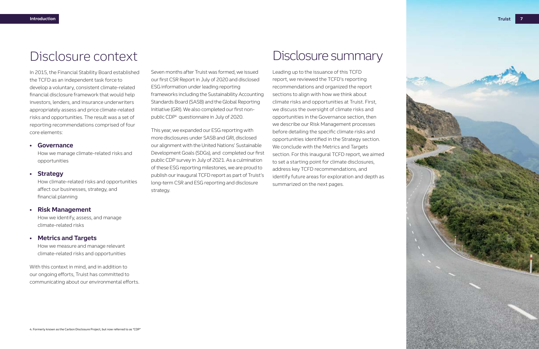

Seven months after Truist was formed, we issued our first CSR Report in July of 2020 and disclosed ESG information under leading reporting frameworks including the Sustainability Accounting Standards Board (SASB) and the Global Reporting Initiative (GRI). We also completed our first nonpublic CDP4 questionnaire in July of 2020.

This year, we expanded our ESG reporting with more disclosures under SASB and GRI, disclosed our alignment with the United Nations' Sustainable Development Goals (SDGs), and completed our first public CDP survey in July of 2021. As a culmination of these ESG reporting milestones, we are proud to publish our inaugural TCFD report as part of Truist's long-term CSR and ESG reporting and disclosure strategy.

## Disclosure context

In 2015, the Financial Stability Board established the TCFD as an independent task force to develop a voluntary, consistent climate-related financial disclosure framework that would help investors, lenders, and insurance underwriters appropriately assess and price climate-related risks and opportunities. The result was a set of reporting recommendations comprised of four core elements:

### **• Governance**

How we manage climate-related risks and opportunities

### **• Strategy**

How climate-related risks and opportunities affect our businesses, strategy, and financial planning

### **• Risk Management**

How we identify, assess, and manage climate-related risks

### **• Metrics and Targets**

How we measure and manage relevant climate-related risks and opportunities

With this context in mind, and in addition to our ongoing efforts, Truist has committed to communicating about our environmental efforts.

## Disclosure summary

Leading up to the issuance of this TCFD report, we reviewed the TCFD's reporting recommendations and organized the report sections to align with how we think about climate risks and opportunities at Truist. First, we discuss the oversight of climate risks and opportunities in the Governance section, then we describe our Risk Management processes before detailing the specific climate risks and opportunities identified in the Strategy section. We conclude with the Metrics and Targets section. For this inaugural TCFD report, we aimed to set a starting point for climate disclosures, address key TCFD recommendations, and identify future areas for exploration and depth as summarized on the next pages.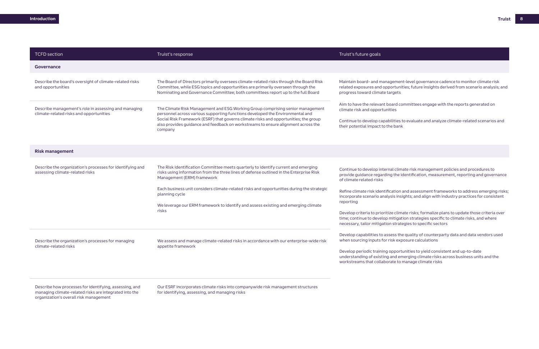Describe how processes for identifying, assessing, and managing climate-related risks are integrated into the organization's overall risk management

| <b>TCFD</b> section                                                                                                                                | Truist's response                                                                                                                                                                                                                                                                                                                                                                                                                                                                                                   | Truist's future goals                                                                                                                                                                                                                                                                                                                                                                        |
|----------------------------------------------------------------------------------------------------------------------------------------------------|---------------------------------------------------------------------------------------------------------------------------------------------------------------------------------------------------------------------------------------------------------------------------------------------------------------------------------------------------------------------------------------------------------------------------------------------------------------------------------------------------------------------|----------------------------------------------------------------------------------------------------------------------------------------------------------------------------------------------------------------------------------------------------------------------------------------------------------------------------------------------------------------------------------------------|
| Governance                                                                                                                                         |                                                                                                                                                                                                                                                                                                                                                                                                                                                                                                                     |                                                                                                                                                                                                                                                                                                                                                                                              |
| Describe the board's oversight of climate-related risks<br>and opportunities                                                                       | The Board of Directors primarily oversees climate-related risks through the Board Risk<br>Committee, while ESG topics and opportunities are primarily overseen through the<br>Nominating and Governance Committee; both committees report up to the full Board                                                                                                                                                                                                                                                      | Maintain board- and managemen<br>related exposures and opportunit<br>progress toward climate targets                                                                                                                                                                                                                                                                                         |
| Describe management's role in assessing and managing<br>climate-related risks and opportunities                                                    | The Climate Risk Management and ESG Working Group comprising senior management<br>personnel across various supporting functions developed the Environmental and<br>Social Risk Framework (ESRF) that governs climate risks and opportunities; the group<br>also provides guidance and feedback on workstreams to ensure alignment across the<br>company                                                                                                                                                             | Aim to have the relevant board co<br>climate risk and opportunities<br>Continue to develop capabilities t<br>their potential impact to the bank                                                                                                                                                                                                                                              |
| <b>Risk management</b>                                                                                                                             |                                                                                                                                                                                                                                                                                                                                                                                                                                                                                                                     |                                                                                                                                                                                                                                                                                                                                                                                              |
| Describe the organization's processes for identifying and<br>assessing climate-related risks<br>Describe the organization's processes for managing | The Risk Identification Committee meets quarterly to identify current and emerging<br>risks using information from the three lines of defense outlined in the Enterprise Risk<br>Management (ERM) framework<br>Each business unit considers climate-related risks and opportunities during the strategic<br>planning cycle<br>We leverage our ERM framework to identify and assess existing and emerging climate<br>risks<br>We assess and manage climate-related risks in accordance with our enterprise-wide risk | Continue to develop internal clim<br>provide guidance regarding the id<br>of climate related risks<br>Refine climate risk identification a<br>incorporate scenario analysis insi<br>reporting<br>Develop criteria to prioritize clima<br>time; continue to develop mitigat<br>necessary, tailor mitigation strate<br>Develop capabilities to assess the<br>when sourcing inputs for risk exp |
| climate-related risks                                                                                                                              | appetite framework                                                                                                                                                                                                                                                                                                                                                                                                                                                                                                  | Develop periodic training opport<br>understanding of existing and em<br>workstreams that collaborate to r                                                                                                                                                                                                                                                                                    |

Our ESRF incorporates climate risks into companywide risk management structures for identifying, assessing, and managing risks

ent-level governance cadence to monitor climate risk nities; future insights derived from scenario analysis; and

committees engage with the reports generated on

s to evaluate and analyze climate-related scenarios and

mate risk management policies and procedures to identification, measurement, reporting and governance

i and assessment frameworks to address emerging risks; sights; and align with industry practices for consistent

nate risks; formalize plans to update those criteria over ation strategies specific to climate risks, and where tegies to specific sectors

he quality of counterparty data and data vendors used posure calculations

tunities to yield consistent and up-to-date merging climate risks across business units and the o manage climate risks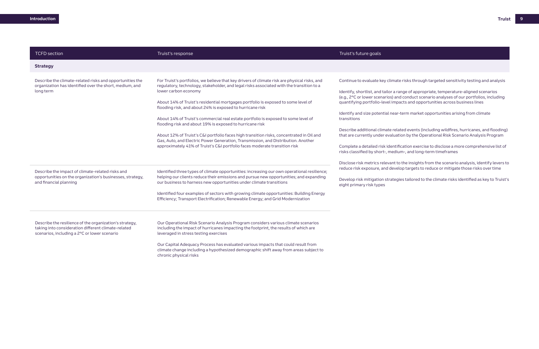| <b>TCFD</b> section                                                                                                                                            | Truist's response                                                                                                                                                                                                                                                                                                                                                  | Truist's future goals                                                                                                                              |
|----------------------------------------------------------------------------------------------------------------------------------------------------------------|--------------------------------------------------------------------------------------------------------------------------------------------------------------------------------------------------------------------------------------------------------------------------------------------------------------------------------------------------------------------|----------------------------------------------------------------------------------------------------------------------------------------------------|
| <b>Strategy</b>                                                                                                                                                |                                                                                                                                                                                                                                                                                                                                                                    |                                                                                                                                                    |
| Describe the climate-related risks and opportunities the<br>organization has identified over the short, medium, and<br>long term                               | For Truist's portfolios, we believe that key drivers of climate risk are physical risks, and<br>regulatory, technology, stakeholder, and legal risks associated with the transition to a<br>lower carbon economy<br>About 14% of Truist's residential mortgages portfolio is exposed to some level of<br>flooding risk, and about 24% is exposed to hurricane risk | Continue to evaluate key climate<br>Identify, shortlist, and tailor a ra<br>(e.g., 2°C or lower scenarios) and<br>quantifying portfolio-level impa |
|                                                                                                                                                                | About 14% of Truist's commercial real estate portfolio is exposed to some level of<br>flooding risk and about 19% is exposed to hurricane risk                                                                                                                                                                                                                     | Identify and size potential near-<br>transitions                                                                                                   |
|                                                                                                                                                                | About 12% of Truist's C&I portfolio faces high transition risks, concentrated in Oil and<br>Gas, Auto, and Electric Power Generation, Transmission, and Distribution. Another<br>approximately 41% of Truist's C&I portfolio faces moderate transition risk                                                                                                        | Describe additional climate rela<br>that are currently under evaluat<br>Complete a detailed risk identifi<br>risks classified by short-, mediu     |
| Describe the impact of climate-related risks and<br>opportunities on the organization's businesses, strategy,<br>and financial planning                        | Identified three types of climate opportunities: increasing our own operational resilience;<br>helping our clients reduce their emissions and pursue new opportunities; and expanding<br>our business to harness new opportunities under climate transitions                                                                                                       | Disclose risk metrics relevant to<br>reduce risk exposure, and devel<br>Develop risk mitigation strategi<br>eight primary risk types               |
|                                                                                                                                                                | Identified four examples of sectors with growing climate opportunities: Building Energy<br>Efficiency; Transport Electrification; Renewable Energy; and Grid Modernization                                                                                                                                                                                         |                                                                                                                                                    |
| Describe the resilience of the organization's strategy,<br>taking into consideration different climate-related<br>scenarios, including a 2°C or lower scenario | Our Operational Risk Scenario Analysis Program considers various climate scenarios<br>including the impact of hurricanes impacting the footprint, the results of which are<br>leveraged in stress testing exercises                                                                                                                                                |                                                                                                                                                    |
|                                                                                                                                                                | Our Capital Adequacy Process has evaluated various impacts that could result from<br>climate change including a hypothesized demographic shift away from areas subject to<br>chronic physical risks                                                                                                                                                                |                                                                                                                                                    |

te risks through targeted sensitivity testing and analysis

ange of appropriate, temperature-aligned scenarios od conduct scenario analyses of our portfolios, including pacts and opportunities across business lines

-term market opportunities arising from climate

ated events (including wildfires, hurricanes, and flooding) tion by the Operational Risk Scenario Analysis Program

fication exercise to disclose a more comprehensive list of um-, and long-term timeframes

to the insights from the scenario analysis, identify levers to lop targets to reduce or mitigate those risks over time

) jies tailored to the climate risks identified as key to Truist's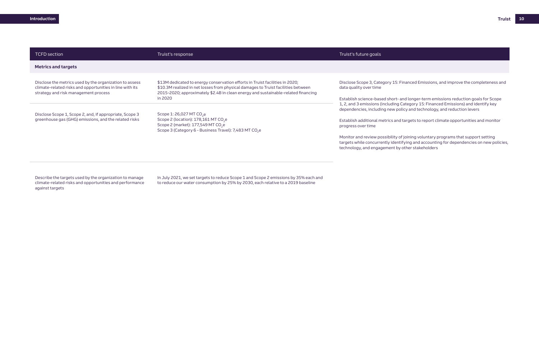Describe the targets used by the organization to manage climate-related risks and opportunities and performance against targets

| <b>TCFD</b> section                                                                                                                                         | Truist's response                                                                                                                                                                                                                                      | Truist's future goals                                                                                                                                           |
|-------------------------------------------------------------------------------------------------------------------------------------------------------------|--------------------------------------------------------------------------------------------------------------------------------------------------------------------------------------------------------------------------------------------------------|-----------------------------------------------------------------------------------------------------------------------------------------------------------------|
| <b>Metrics and targets</b>                                                                                                                                  |                                                                                                                                                                                                                                                        |                                                                                                                                                                 |
| Disclose the metrics used by the organization to assess<br>climate-related risks and opportunities in line with its<br>strategy and risk management process | \$13M dedicated to energy conservation efforts in Truist facilities in 2020;<br>\$10.3M realized in net losses from physical damages to Truist facilities between<br>2015-2020; approximately \$2.4B in clean energy and sustainable-related financing | Disclose Scope 3, Category 15: F<br>data quality over time                                                                                                      |
| Disclose Scope 1, Scope 2, and, if appropriate, Scope 3<br>greenhouse gas (GHG) emissions, and the related risks                                            | in 2020<br>Scope 1: 26,027 MT CO <sub>2</sub> e<br>Scope 2 (location): $178,161$ MT CO <sub>2</sub> e<br>Scope 2 (market): $177,549$ MT CO <sub>2</sub> e<br>Scope 3 (Category 6 - Business Travel): 7,483 MT CO <sub>2</sub> e                        | Establish science-based short-a<br>1, 2, and 3 emissions (including<br>dependencies, including new po<br>Establish additional metrics and<br>progress over time |
|                                                                                                                                                             |                                                                                                                                                                                                                                                        | Monitor and review possibility o<br>targets while concurrently ident<br>technology, and engagement by                                                           |
|                                                                                                                                                             |                                                                                                                                                                                                                                                        |                                                                                                                                                                 |

In July 2021, we set targets to reduce Scope 1 and Scope 2 emissions by 35% each and to reduce our water consumption by 25% by 2030, each relative to a 2019 baseline

Financed Emissions, and improve the completeness and

and longer-term emissions reduction goals for Scope Category 15: Financed Emissions) and identify key blicy and technology, and reduction levers

I targets to report climate opportunities and monitor

of joining voluntary programs that support setting tifying and accounting for dependencies on new policies, ther stakeholders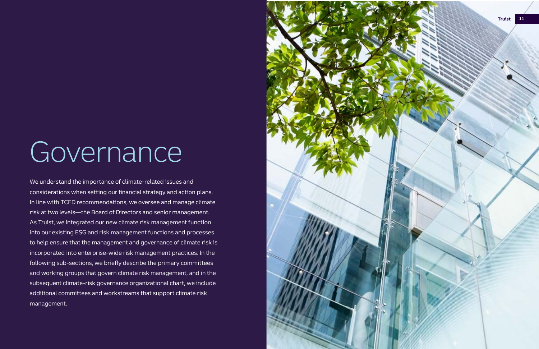

# **Governance**

We understand the importance of climate-related issues and considerations when setting our financial strategy and action plans. In line with TCFD recommendations, we oversee and manage climate risk at two levels—the Board of Directors and senior management. As Truist, we integrated our new climate risk management function into our existing ESG and risk management functions and processes to help ensure that the management and governance of climate risk is incorporated into enterprise-wide risk management practices. In the following sub-sections, we briefly describe the primary committees and working groups that govern climate risk management, and in the subsequent climate-risk governance organizational chart, we include additional committees and workstreams that support climate risk management.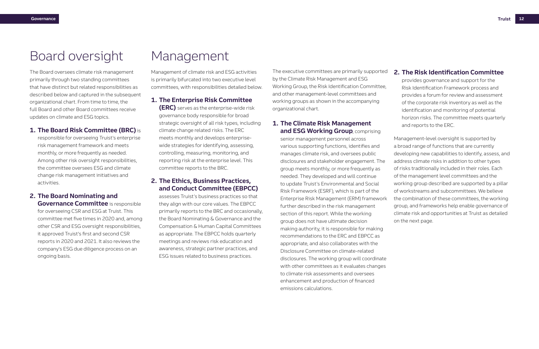The executive committees are primarily supported by the Climate Risk Management and ESG Working Group, the Risk Identification Committee, and other management-level committees and working groups as shown in the accompanying organizational chart.

### **1. The Climate Risk Management and ESG Working Group**, comprising

senior management personnel across various supporting functions, identifies and manages climate risk, and oversees public disclosures and stakeholder engagement. The group meets monthly, or more frequently as needed. They developed and will continue to update Truist's Environmental and Social Risk Framework (ESRF), which is part of the Enterprise Risk Management (ERM) framework further described in the risk management section of this report. While the working group does not have ultimate decision making authority, it is responsible for making recommendations to the ERC and EBPCC as appropriate, and also collaborates with the Disclosure Committee on climate-related disclosures. The working group will coordinate with other committees as it evaluates changes to climate risk assessments and oversees enhancement and production of financed emissions calculations.

**Governance Committee** is responsible for overseeing CSR and ESG at Truist. This committee met five times in 2020 and, among other CSR and ESG oversight responsibilities, it approved Truist's first and second CSR reports in 2020 and 2021. It also reviews the company's ESG due diligence process on an ongoing basis.

## Board oversight

The Board oversees climate risk management primarily through two standing committees that have distinct but related responsibilities as described below and captured in the subsequent organizational chart. From time to time, the full Board and other Board committees receive updates on climate and ESG topics.

### **1. The Board Risk Committee (BRC)** is

responsible for overseeing Truist's enterprise risk management framework and meets monthly, or more frequently as needed. Among other risk oversight responsibilities, the committee oversees ESG and climate change risk management initiatives and activities.

## **2. The Board Nominating and**

## Management

Management of climate risk and ESG activities is primarily bifurcated into two executive level committees, with responsibilities detailed below.

### **1. The Enterprise Risk Committee**

**(ERC)** serves as the enterprise-wide risk governance body responsible for broad strategic oversight of all risk types, including climate change related risks. The ERC meets monthly and develops enterprisewide strategies for identifying, assessing, controlling, measuring, monitoring, and reporting risk at the enterprise level. This committee reports to the BRC.

### **2. The Ethics, Business Practices, and Conduct Committee (EBPCC)**

assesses Truist's business practices so that they align with our core values. The EBPCC primarily reports to the BRC and occasionally, the Board Nominating & Governance and the Compensation & Human Capital Committees as appropriate. The EBPCC holds quarterly meetings and reviews risk education and awareness, strategic partner practices, and ESG issues related to business practices.

### **2. The Risk Identification Committee**

provides governance and support for the Risk Identification Framework process and provides a forum for review and assessment of the corporate risk inventory as well as the identification and monitoring of potential horizon risks. The committee meets quarterly and reports to the ERC.

Management-level oversight is supported by a broad range of functions that are currently developing new capabilities to identify, assess, and address climate risks in addition to other types of risks traditionally included in their roles. Each of the management level committees and the working group described are supported by a pillar of workstreams and subcommittees. We believe the combination of these committees, the working group, and frameworks help enable governance of climate risk and opportunities at Truist as detailed on the next page.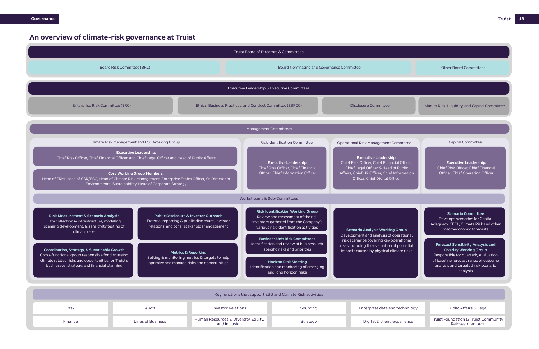and Inclusion Strategy Pruist Foundation Struist Community<br>Coinvestment, estimated Truist Community Reinvestment Act

### **An overview of climate-risk governance at Truist**

Market Risk, Liquidity, and Capital Committee

### nmittee

### Other Board Committees

|                                                                         | Truist Board of Directors & Committees                                                                                                                            |                                                                                                                                                                                                                                                                                                                                                                                                                                                                                             |                                                                                                                                                                  |                                                                                                                                                                               |                                                                                                        |                                        |                                                                                                                       |
|-------------------------------------------------------------------------|-------------------------------------------------------------------------------------------------------------------------------------------------------------------|---------------------------------------------------------------------------------------------------------------------------------------------------------------------------------------------------------------------------------------------------------------------------------------------------------------------------------------------------------------------------------------------------------------------------------------------------------------------------------------------|------------------------------------------------------------------------------------------------------------------------------------------------------------------|-------------------------------------------------------------------------------------------------------------------------------------------------------------------------------|--------------------------------------------------------------------------------------------------------|----------------------------------------|-----------------------------------------------------------------------------------------------------------------------|
| Board Risk Committee (BRC)<br>Board Nominating and Governance Committee |                                                                                                                                                                   |                                                                                                                                                                                                                                                                                                                                                                                                                                                                                             | <b>Other Board Committees</b>                                                                                                                                    |                                                                                                                                                                               |                                                                                                        |                                        |                                                                                                                       |
|                                                                         |                                                                                                                                                                   |                                                                                                                                                                                                                                                                                                                                                                                                                                                                                             |                                                                                                                                                                  |                                                                                                                                                                               |                                                                                                        |                                        |                                                                                                                       |
|                                                                         |                                                                                                                                                                   |                                                                                                                                                                                                                                                                                                                                                                                                                                                                                             |                                                                                                                                                                  |                                                                                                                                                                               | Executive Leadership & Executive Committees                                                            |                                        |                                                                                                                       |
|                                                                         | Enterprise Risk Committee (ERC)                                                                                                                                   |                                                                                                                                                                                                                                                                                                                                                                                                                                                                                             |                                                                                                                                                                  | Ethics, Business Practices, and Conduct Committee (EBPCC)<br><b>Disclosure Committee</b>                                                                                      |                                                                                                        |                                        | Market Risk, Liquidity, and Capital C                                                                                 |
|                                                                         |                                                                                                                                                                   |                                                                                                                                                                                                                                                                                                                                                                                                                                                                                             |                                                                                                                                                                  | Management Committees                                                                                                                                                         |                                                                                                        |                                        |                                                                                                                       |
|                                                                         |                                                                                                                                                                   |                                                                                                                                                                                                                                                                                                                                                                                                                                                                                             |                                                                                                                                                                  |                                                                                                                                                                               |                                                                                                        |                                        |                                                                                                                       |
|                                                                         |                                                                                                                                                                   | Climate Risk Management and ESG Working Group                                                                                                                                                                                                                                                                                                                                                                                                                                               |                                                                                                                                                                  |                                                                                                                                                                               | <b>Risk Identification Committee</b>                                                                   | Operational Risk Management Committee  | <b>Capital Committee</b>                                                                                              |
|                                                                         |                                                                                                                                                                   | <b>Executive Leadership:</b><br>Chief Risk Officer, Chief Financial Officer, and Chief Legal Officer and Head of Public Affairs<br><b>Executive Leadership:</b><br><b>Executive Leadership:</b><br>Chief Risk Officer, Chief Financial<br>Officer, Chief Information Officer<br><b>Core Working Group Members:</b><br>Head of ERM, Head of CSR/ESG, Head of Climate Risk Management, Enterprise Ethics Officer, Sr. Director of<br>Environmental Sustainability, Head of Corporate Strategy |                                                                                                                                                                  | Chief Risk Officer, Chief Financial Officer,<br>Chief Legal Officer & Head of Public<br>Affairs, Chief HR Officer, Chief Information<br>Officer, Chief Digital Officer        | <b>Executive Leadership:</b><br>Chief Risk Officer, Chief Fina<br>Officer, Chief Operating Off         |                                        |                                                                                                                       |
|                                                                         |                                                                                                                                                                   |                                                                                                                                                                                                                                                                                                                                                                                                                                                                                             |                                                                                                                                                                  | Workstreams & Sub-Committees                                                                                                                                                  |                                                                                                        |                                        |                                                                                                                       |
|                                                                         | <b>Risk Measurement &amp; Scenario Analysis</b><br>Data collection & infrastructure, modeling,<br>scenario development, & sensitivity testing of<br>climate risks | <b>Public Disclosure &amp; Investor Outreach</b><br>External reporting & public disclosure, investor<br>relations, and other stakeholder engagement                                                                                                                                                                                                                                                                                                                                         | <b>Risk Identification Working Group</b><br>Review and assessment of the risk<br>inventory gathered from the Company's<br>various risk identification activities |                                                                                                                                                                               |                                                                                                        | <b>Scenario Analysis Working Group</b> | <b>Scenario Committee</b><br>Develops scenarios for Cap<br>Adequacy, CECL, Climate Risk ar<br>macroeconomic forecasts |
|                                                                         | Coordination, Strategy, & Sustainable Growth<br>Cross-functional group responsible for discussing                                                                 | <b>Metrics &amp; Reporting</b>                                                                                                                                                                                                                                                                                                                                                                                                                                                              | <b>Business Unit Risk Committees</b><br>Identification and review of business unit<br>specific risks and priorities                                              | Development and analysis of operational<br>risk scenarios covering key operational<br>risks including the evaluation of potential<br>impacts caused by physical climate risks | <b>Forecast Sensitivity Analysis</b><br><b>Overlay Working Group</b><br>Responsible for quarterly eval |                                        |                                                                                                                       |
|                                                                         | climate related risks and opportunities for Truist's<br>businesses, strategy, and financial planning                                                              | Setting & monitoring metrics & targets to help<br>optimize and manage risks and opportunities                                                                                                                                                                                                                                                                                                                                                                                               |                                                                                                                                                                  | <b>Horizon Risk Meeting</b><br>Identification and monitoring of emerging<br>and long horizon risks                                                                            |                                                                                                        |                                        | of baseline forecast range of ou<br>analysis and targeted risk sce<br>analysis                                        |
|                                                                         |                                                                                                                                                                   |                                                                                                                                                                                                                                                                                                                                                                                                                                                                                             |                                                                                                                                                                  |                                                                                                                                                                               |                                                                                                        |                                        |                                                                                                                       |
|                                                                         |                                                                                                                                                                   |                                                                                                                                                                                                                                                                                                                                                                                                                                                                                             |                                                                                                                                                                  |                                                                                                                                                                               | Key functions that support ESG and Climate Risk activities                                             |                                        |                                                                                                                       |
|                                                                         | Risk                                                                                                                                                              | Audit                                                                                                                                                                                                                                                                                                                                                                                                                                                                                       | <b>Investor Relations</b>                                                                                                                                        |                                                                                                                                                                               | Sourcing                                                                                               | Enterprise data and technology         | Public Affairs & Legal                                                                                                |
|                                                                         | Finance                                                                                                                                                           | Lines of Business                                                                                                                                                                                                                                                                                                                                                                                                                                                                           | Human Resources & Diversity, Equity,<br>and Inclusion                                                                                                            |                                                                                                                                                                               | Strategy                                                                                               | Digital & client, experience           | Truist Foundation & Truist Cor<br>Reinvestment Act                                                                    |

**Forecast Sensitivity Analysis and Overlay Working Group** Responsible for quarterly evaluation of baseline forecast range of outcome analysis and targeted risk scenario analysis

**Executive Leadership:** Chief Risk Officer, Chief Financial Officer, Chief Operating Officer

**Scenario Committee** Develops scenarios for Capital Adequacy, CECL, Climate Risk and other macroeconomic forecasts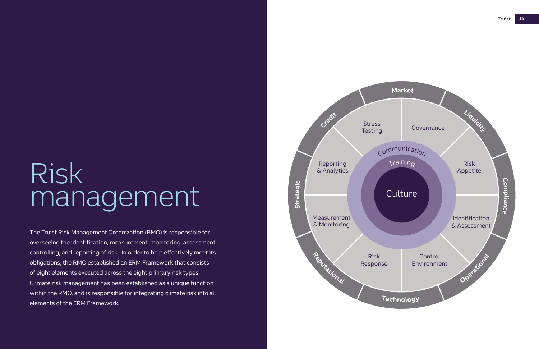# Risk management

The Truist Risk Management Organization (RMO) is responsible for overseeing the identification, measurement, monitoring, assessment, controlling, and reporting of risk. In order to help effectively meet its obligations, the RMO established an ERM Framework that consists of eight elements executed across the eight primary risk types. Climate risk management has been established as a unique function within the RMO, and is responsible for integrating climate risk into all elements of the ERM Framework.

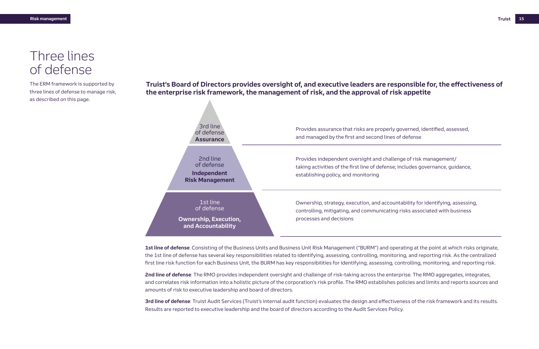## Three lines of defense

### **Truist's Board of Directors provides oversight of, and executive leaders are responsible for, the effectiveness of the enterprise risk framework, the management of risk, and the approval of risk appetite**

The ERM framework is supported by three lines of defense to manage risk, as described on this page.

> **1st line of defense**: Consisting of the Business Units and Business Unit Risk Management ("BURM") and operating at the point at which risks originate, the 1st line of defense has several key responsibilities related to identifying, assessing, controlling, monitoring, and reporting risk. As the centralized first line risk function for each Business Unit, the BURM has key responsibilities for identifying, assessing, controlling, monitoring, and reporting risk.



**2nd line of defense**: The RMO provides independent oversight and challenge of risk-taking across the enterprise. The RMO aggregates, integrates, and correlates risk information into a holistic picture of the corporation's risk profile. The RMO establishes policies and limits and reports sources and amounts of risk to executive leadership and board of directors.

**3rd line of defense**: Truist Audit Services (Truist's internal audit function) evaluates the design and effectiveness of the risk framework and its results. Results are reported to executive leadership and the board of directors according to the Audit Services Policy.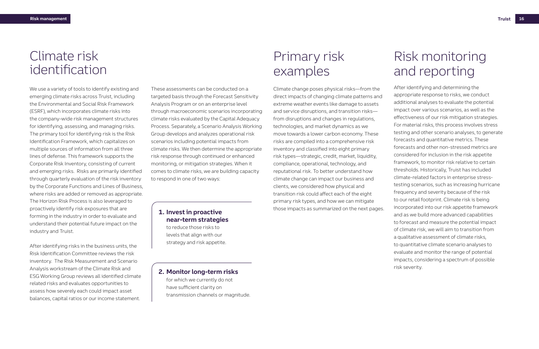These assessments can be conducted on a targeted basis through the Forecast Sensitivity Analysis Program or on an enterprise level through macroeconomic scenarios incorporating climate risks evaluated by the Capital Adequacy Process. Separately, a Scenario Analysis Working Group develops and analyzes operational risk scenarios including potential impacts from climate risks. We then determine the appropriate risk response through continued or enhanced monitoring, or mitigation strategies. When it comes to climate risks, we are building capacity to respond in one of two ways:

## Primary risk examples

Climate change poses physical risks—from the direct impacts of changing climate patterns and extreme weather events like damage to assets and service disruptions, and transition risks from disruptions and changes in regulations, technologies, and market dynamics as we move towards a lower carbon economy. These risks are compiled into a comprehensive risk inventory and classified into eight primary risk types—strategic, credit, market, liquidity, compliance, operational, technology, and reputational risk. To better understand how climate change can impact our business and clients, we considered how physical and transition risk could affect each of the eight primary risk types, and how we can mitigate those impacts as summarized on the next pages.

## Risk monitoring and reporting

After identifying and determining the appropriate response to risks, we conduct additional analyses to evaluate the potential impact over various scenarios, as well as the effectiveness of our risk mitigation strategies. For material risks, this process involves stress testing and other scenario analyses, to generate forecasts and quantitative metrics. These forecasts and other non-stressed metrics are considered for inclusion in the risk appetite framework, to monitor risk relative to certain thresholds. Historically, Truist has included climate-related factors in enterprise stresstesting scenarios, such as increasing hurricane frequency and severity because of the risk to our retail footprint. Climate risk is being incorporated into our risk appetite framework and as we build more advanced capabilities to forecast and measure the potential impact of climate risk, we will aim to transition from a qualitative assessment of climate risks, to quantitative climate scenario analyses to evaluate and monitor the range of potential impacts, considering a spectrum of possible risk severity.

## Climate risk identification

We use a variety of tools to identify existing and emerging climate risks across Truist, including the Environmental and Social Risk Framework (ESRF), which incorporates climate risks into the company-wide risk management structures for identifying, assessing, and managing risks. The primary tool for identifying risk is the Risk Identification Framework, which capitalizes on multiple sources of information from all three lines of defense. This framework supports the Corporate Risk Inventory, consisting of current and emerging risks. Risks are primarily identified through quarterly evaluation of the risk inventory by the Corporate Functions and Lines of Business, where risks are added or removed as appropriate. The Horizon Risk Process is also leveraged to proactively identify risk exposures that are forming in the industry in order to evaluate and understand their potential future impact on the industry and Truist.

After identifying risks in the business units, the Risk Identification Committee reviews the risk inventory. The Risk Measurement and Scenario Analysis workstream of the Climate Risk and ESG Working Group reviews all identified climate related risks and evaluates opportunities to assess how severely each could impact asset balances, capital ratios or our income statement.

### **1. Invest in proactive near-term strategies**

to reduce those risks to levels that align with our strategy and risk appetite.

### **2. Monitor long-term risks**

for which we currently do not have sufficient clarity on transmission channels or magnitude.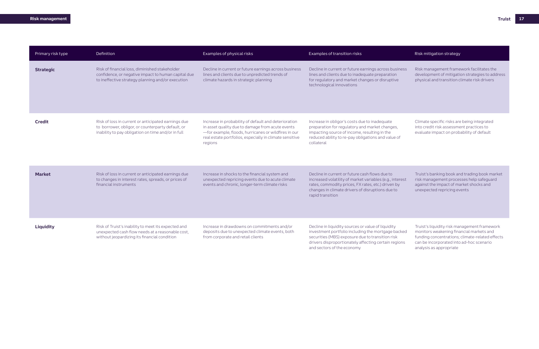| Primary risk type | Definition                                                                                                                                                     | Examples of physical risks                                                                                                                                                                                                             | Examples of transition risks                                                                                                                                                                                                                       | Risk mitigation strategy                                                                                                                                                                                           |
|-------------------|----------------------------------------------------------------------------------------------------------------------------------------------------------------|----------------------------------------------------------------------------------------------------------------------------------------------------------------------------------------------------------------------------------------|----------------------------------------------------------------------------------------------------------------------------------------------------------------------------------------------------------------------------------------------------|--------------------------------------------------------------------------------------------------------------------------------------------------------------------------------------------------------------------|
| <b>Strategic</b>  | Risk of financial loss, diminished stakeholder<br>confidence, or negative impact to human capital due<br>to ineffective strategy planning and/or execution     | Decline in current or future earnings across business<br>lines and clients due to unpredicted trends of<br>climate hazards in strategic planning                                                                                       | Decline in current or future earnings across business<br>lines and clients due to inadequate preparation<br>for regulatory and market changes or disruptive<br>technological innovations                                                           | Risk management framework facilitates the<br>development of mitigation strategies to address<br>physical and transition climate risk drivers                                                                       |
| <b>Credit</b>     | Risk of loss in current or anticipated earnings due<br>to borrower, obligor, or counterparty default, or<br>inability to pay obligation on time and/or in full | Increase in probability of default and deterioration<br>in asset quality due to damage from acute events<br>-for example, floods, hurricanes or wildfires in our<br>real estate portfolios, especially in climate sensitive<br>regions | Increase in obligor's costs due to inadequate<br>preparation for regulatory and market changes,<br>impacting source of income, resulting in the<br>reduced ability to re-pay obligations and value of<br>collateral                                | Climate specific risks are being integrated<br>into credit risk assessment practices to<br>evaluate impact on probability of default                                                                               |
| <b>Market</b>     | Risk of loss in current or anticipated earnings due<br>to changes in interest rates, spreads, or prices of<br>financial instruments                            | Increase in shocks to the financial system and<br>unexpected repricing events due to acute climate<br>events and chronic, longer-term climate risks                                                                                    | Decline in current or future cash flows due to<br>increased volatility of market variables (e.g., interest<br>rates, commodity prices, FX rates, etc.) driven by<br>changes in climate drivers of disruptions due to<br>rapid transition           | Truist's banking book and trading book market<br>risk management processes help safeguard<br>against the impact of market shocks and<br>unexpected repricing events                                                |
| Liquidity         | Risk of Truist's inability to meet its expected and<br>unexpected cash flow needs at a reasonable cost,<br>without jeopardizing its financial condition        | Increase in drawdowns on commitments and/or<br>deposits due to unexpected climate events, both<br>from corporate and retail clients                                                                                                    | Decline in liquidity sources or value of liquidity<br>investment portfolio including the mortgage backed<br>securities (MBS) exposure due to transition risk<br>drivers disproportionately affecting certain regions<br>and sectors of the economy | Truist's liquidity risk management framework<br>monitors weakening financial markets and<br>funding concentrations; climate-related effects<br>can be incorporated into ad-hoc scenario<br>analysis as appropriate |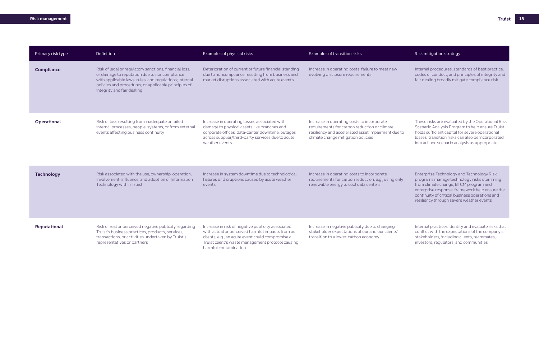| Primary risk type | Definition                                                                                                                                                                                                                                             | Examples of physical risks                                                                                                                                                                                                               | Examples of transition risks                                                                                                                                                           | Risk mitigation strategy                                                                                                                                                                                                                                                       |
|-------------------|--------------------------------------------------------------------------------------------------------------------------------------------------------------------------------------------------------------------------------------------------------|------------------------------------------------------------------------------------------------------------------------------------------------------------------------------------------------------------------------------------------|----------------------------------------------------------------------------------------------------------------------------------------------------------------------------------------|--------------------------------------------------------------------------------------------------------------------------------------------------------------------------------------------------------------------------------------------------------------------------------|
| <b>Compliance</b> | Risk of legal or regulatory sanctions, financial loss,<br>or damage to reputation due to noncompliance<br>with applicable laws, rules, and regulations; internal<br>policies and procedures; or applicable principles of<br>integrity and fair dealing | Deterioration of current or future financial standing<br>due to noncompliance resulting from business and<br>market disruptions associated with acute events                                                                             | Increase in operating costs, failure to meet new<br>evolving disclosure requirements                                                                                                   | Internal procedures, standards of best practice,<br>codes of conduct, and principles of integrity and<br>fair dealing broadly mitigate compliance risk                                                                                                                         |
| Operational       | Risk of loss resulting from inadequate or failed<br>internal processes, people, systems, or from external<br>events affecting business continuity                                                                                                      | Increase in operating losses associated with<br>damage to physical assets like branches and<br>corporate offices, data-center downtime, outages<br>across supplier/third-party services due to acute<br>weather events                   | Increase in operating costs to incorporate<br>requirements for carbon reduction or climate<br>resiliency and accelerated asset impairment due to<br>climate change mitigation policies | These risks are evaluated by the Operational Risk<br>Scenario Analysis Program to help ensure Truist<br>holds sufficient capital for severe operational<br>losses; transition risks can also be incorporated<br>into ad-hoc scenario analysis as appropriate                   |
| <b>Technology</b> | Risk associated with the use, ownership, operation,<br>involvement, influence, and adoption of Information<br>Technology within Truist                                                                                                                 | Increase in system downtime due to technological<br>failures or disruptions caused by acute weather<br>events                                                                                                                            | Increase in operating costs to incorporate<br>requirements for carbon reduction, e.g., using only<br>renewable energy to cool data centers                                             | Enterprise Technology and Technology Risk<br>programs manage technology risks stemming<br>from climate change; BTCM program and<br>enterprise response framework help ensure the<br>continuity of critical business operations and<br>resiliency through severe weather events |
| Reputational      | Risk of real or perceived negative publicity regarding<br>Truist's business practices, products, services,<br>transactions, or activities undertaken by Truist's<br>representatives or partners                                                        | Increase in risk of negative publicity associated<br>with actual or perceived harmful impacts from our<br>clients, e.g., an acute event could compromise a<br>Truist client's waste management protocol causing<br>harmful contamination | Increase in negative publicity due to changing<br>stakeholder expectations of our and our clients'<br>transition to a lower-carbon economy                                             | Internal practices identify and evaluate risks that<br>conflict with the expectations of the company's<br>stakeholders, including clients, teammates,<br>investors, regulators, and communities                                                                                |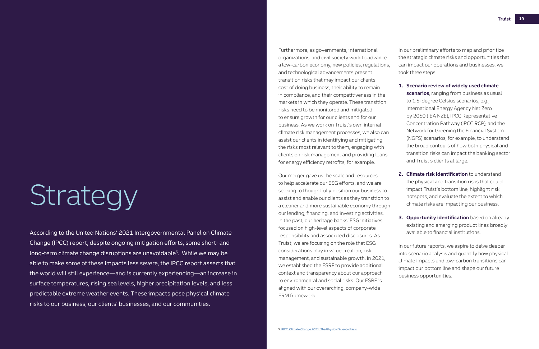# Strategy

According to the United Nations' 2021 Intergovernmental Panel on Climate Change (IPCC) report, despite ongoing mitigation efforts, some short- and long-term climate change disruptions are unavoidable<sup>5</sup>. While we may be able to make some of these impacts less severe, the IPCC report asserts that the world will still experience—and is currently experiencing—an increase in surface temperatures, rising sea levels, higher precipitation levels, and less predictable extreme weather events. These impacts pose physical climate risks to our business, our clients' businesses, and our communities.

Furthermore, as governments, international organizations, and civil society work to advance a low-carbon economy, new policies, regulations, and technological advancements present transition risks that may impact our clients' cost of doing business, their ability to remain in compliance, and their competitiveness in the markets in which they operate. These transition risks need to be monitored and mitigated to ensure growth for our clients and for our business. As we work on Truist's own internal climate risk management processes, we also can assist our clients in identifying and mitigating the risks most relevant to them, engaging with clients on risk management and providing loans for energy efficiency retrofits, for example.

Our merger gave us the scale and resources to help accelerate our ESG efforts, and we are seeking to thoughtfully position our business to assist and enable our clients as they transition to a cleaner and more sustainable economy through our lending, financing, and investing activities. In the past, our heritage banks' ESG initiatives focused on high-level aspects of corporate responsibility and associated disclosures. As Truist, we are focusing on the role that ESG considerations play in value creation, risk management, and sustainable growth. In 2021, we established the ESRF to provide additional context and transparency about our approach to environmental and social risks. Our ESRF is aligned with our overarching, company-wide ERM framework.

In our preliminary efforts to map and prioritize the strategic climate risks and opportunities that can impact our operations and businesses, we took three steps:

- **1. Scenario review of widely used climate scenarios**, ranging from business as usual to 1.5-degree Celsius scenarios, e.g., International Energy Agency Net Zero by 2050 (IEA NZE), IPCC Representative Concentration Pathway (IPCC RCP), and the Network for Greening the Financial System (NGFS) scenarios, for example, to understand the broad contours of how both physical and transition risks can impact the banking sector and Truist's clients at large.
- **2. Climate risk identification** to understand the physical and transition risks that could impact Truist's bottom line, highlight risk hotspots, and evaluate the extent to which climate risks are impacting our business.
- **3. Opportunity identification** based on already existing and emerging product lines broadly available to financial institutions.

In our future reports, we aspire to delve deeper into scenario analysis and quantify how physical climate impacts and low-carbon transitions can impact our bottom line and shape our future business opportunities.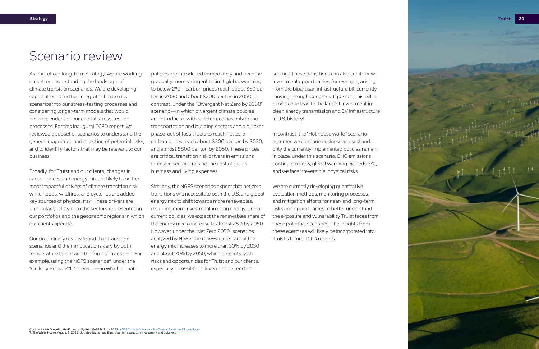

## Scenario review

As part of our long-term strategy, we are working on better understanding the landscape of climate transition scenarios. We are developing capabilities to further integrate climate risk scenarios into our stress-testing processes and considering longer-term models that would be independent of our capital stress-testing processes. For this inaugural TCFD report, we reviewed a subset of scenarios to understand the general magnitude and direction of potential risks, and to identify factors that may be relevant to our business.

Broadly, for Truist and our clients, changes in carbon prices and energy mix are likely to be the most impactful drivers of climate transition risk, while floods, wildfires, and cyclones are added key sources of physical risk. These drivers are particularly relevant to the sectors represented in our portfolios and the geographic regions in which our clients operate.

Our preliminary review found that transition scenarios and their implications vary by both temperature target and the form of transition. For example, using the NGFS scenarios<sup>6</sup>, under the "Orderly Below 2°C" scenario—in which climate

policies are introduced immediately and become gradually more stringent to limit global warming to below 2°C—carbon prices reach about \$50 per ton in 2030 and about \$200 per ton in 2050. In contrast, under the "Divergent Net Zero by 2050" scenario—in which divergent climate policies are introduced, with stricter policies only in the transportation and building sectors and a quicker phase-out of fossil fuels to reach net zero carbon prices reach about \$300 per ton by 2030, and almost \$800 per ton by 2050. These prices are critical transition risk drivers in emissions intensive sectors, raising the cost of doing business and living expenses.

> We are currently developing quantitative evaluation methods, monitoring processes, and mitigation efforts for near- and long-term risks and opportunities to better understand the exposure and vulnerability Truist faces from these potential scenarios. The insights from these exercises will likely be incorporated into Truist's future TCFD reports.

Similarly, the NGFS scenarios expect that net zero transitions will necessitate both the U.S. and global energy mix to shift towards more renewables, requiring more investment in clean energy. Under current policies, we expect the renewables share of the energy mix to increase to almost 25% by 2050. However, under the "Net Zero 2050" scenarios analyzed by NGFS, the renewables share of the energy mix increases to more than 30% by 2030 and about 70% by 2050, which presents both risks and opportunities for Truist and our clients, especially in fossil-fuel driven and dependent

sectors. These transitions can also create new investment opportunities, for example, arising from the bipartisan infrastructure bill currently moving through Congress. If passed, this bill is expected to lead to the largest investment in clean energy transmission and EV infrastructure in U.S. history<sup>7</sup> .

In contrast, the "Hot house world" scenario assumes we continue business as usual and only the currently implemented policies remain in place. Under this scenario, GHG emissions continue to grow, global warming exceeds 3°C, and we face irreversible physical risks.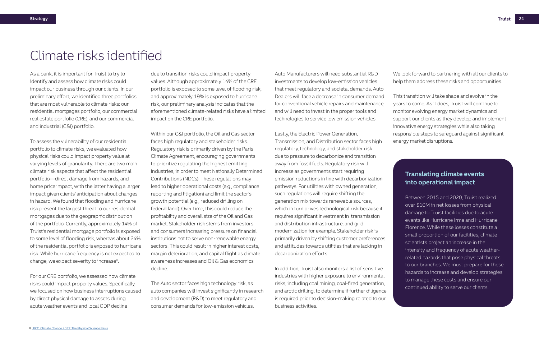To assess the vulnerability of our residential portfolio to climate risks, we evaluated how physical risks could impact property value at varying levels of granularity. There are two main climate risk aspects that affect the residential portfolio—direct damage from hazards, and home price impact, with the latter having a larger impact given clients' anticipation about changes in hazard. We found that flooding and hurricane risk present the largest threat to our residential mortgages due to the geographic distribution of the portfolio. Currently, approximately 14% of Truist's residential mortgage portfolio is exposed to some level of flooding risk, whereas about 24% of the residential portfolio is exposed to hurricane risk. While hurricane frequency is not expected to change, we expect severity to increase<sup>8</sup>.

As a bank, it is important for Truist to try to identify and assess how climate risks could impact our business through our clients. In our preliminary effort, we identified three portfolios that are most vulnerable to climate risks: our residential mortgages portfolio, our commercial real estate portfolio (CRE), and our commercial and industrial (C&I) portfolio.

For our CRE portfolio, we assessed how climate risks could impact property values. Specifically, we focused on how business interruptions caused by direct physical damage to assets during acute weather events and local GDP decline

due to transition risks could impact property values. Although approximately 14% of the CRE portfolio is exposed to some level of flooding risk, and approximately 19% is exposed to hurricane risk, our preliminary analysis indicates that the aforementioned climate-related risks have a limited impact on the CRE portfolio.

Within our C&I portfolio, the Oil and Gas sector faces high regulatory and stakeholder risks. Regulatory risk is primarily driven by the Paris Climate Agreement, encouraging governments to prioritize regulating the highest emitting industries, in order to meet Nationally Determined Contributions (NDCs). These regulations may lead to higher operational costs (e.g., compliance reporting and litigation) and limit the sector's growth potential (e.g., reduced drilling on federal land). Over time, this could reduce the profitability and overall size of the Oil and Gas market. Stakeholder risk stems from investors and consumers increasing pressure on financial institutions not to serve non-renewable energy sectors. This could result in higher interest costs, margin deterioration, and capital flight as climate awareness increases and Oil & Gas economics decline.

### **Translating climate events into operational impact**

The Auto sector faces high technology risk, as auto companies will invest significantly in research and development (R&D) to meet regulatory and consumer demands for low-emission vehicles.

Auto Manufacturers will need substantial R&D investments to develop low-emission vehicles that meet regulatory and societal demands. Auto Dealers will face a decrease in consumer demand for conventional vehicle repairs and maintenance, and will need to invest in the proper tools and technologies to service low emission vehicles.

Lastly, the Electric Power Generation, Transmission, and Distribution sector faces high

regulatory, technology, and stakeholder risk due to pressure to decarbonize and transition away from fossil fuels. Regulatory risk will increase as governments start requiring emission reductions in line with decarbonization pathways. For utilities with owned generation, such regulations will require shifting the generation mix towards renewable sources, which in turn drives technological risk because it requires significant investment in transmission and distribution infrastructure, and grid modernization for example. Stakeholder risk is primarily driven by shifting customer preferences and attitudes towards utilities that are lacking in decarbonization efforts.

In addition, Truist also monitors a list of sensitive industries with higher exposure to environmental risks, including coal mining, coal-fired generation, and arctic drilling, to determine if further diligence is required prior to decision-making related to our business activities.

We look forward to partnering with all our clients to help them address these risks and opportunities.

This transition will take shape and evolve in the years to come. As it does, Truist will continue to monitor evolving energy market dynamics and support our clients as they develop and implement innovative energy strategies while also taking responsible steps to safeguard against significant energy market disruptions.

## Climate risks identified

Between 2015 and 2020, Truist realized over \$10M in net losses from physical damage to Truist facilities due to acute events like Hurricane Irma and Hurricane Florence. While these losses constitute a small proportion of our facilities, climate scientists project an increase in the intensity and frequency of acute weatherrelated hazards that pose physical threats to our branches. We must prepare for these hazards to increase and develop strategies to manage these costs and ensure our continued ability to serve our clients.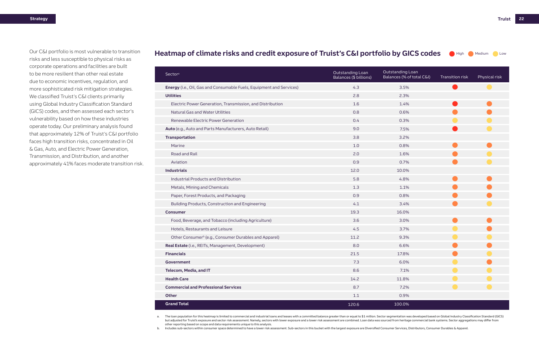| Sectora                                                                     | Outstanding Loan<br>Balances (\$ billions) | Outstanding Loan<br>Balances (% of total C&I) | Transition risk | Physical risk |
|-----------------------------------------------------------------------------|--------------------------------------------|-----------------------------------------------|-----------------|---------------|
| <b>Energy</b> (i.e., Oil, Gas and Consumable Fuels, Equipment and Services) | 4.3                                        | 3.5%                                          |                 |               |
| <b>Utilities</b>                                                            | 2.8                                        | 2.3%                                          |                 |               |
| Electric Power Generation, Transmission, and Distribution                   | 1.6                                        | 1.4%                                          |                 |               |
| <b>Natural Gas and Water Utilities</b>                                      | 0.8                                        | 0.6%                                          |                 |               |
| Renewable Electric Power Generation                                         | 0.4                                        | 0.3%                                          |                 |               |
| Auto (e.g., Auto and Parts Manufacturers, Auto Retail)                      | 9.0                                        | 7.5%                                          |                 |               |
| <b>Transportation</b>                                                       | 3.8                                        | 3.2%                                          |                 |               |
| Marine                                                                      | 1.0                                        | 0.8%                                          |                 |               |
| Road and Rail                                                               | 2.0                                        | 1.6%                                          |                 |               |
| Aviation                                                                    | 0.9                                        | 0.7%                                          |                 |               |
| <b>Industrials</b>                                                          | 12.0                                       | 10.0%                                         |                 |               |
| Industrial Products and Distribution                                        | 5.8                                        | 4.8%                                          |                 |               |
| Metals, Mining and Chemicals                                                | 1.3                                        | 1.1%                                          |                 |               |
| Paper, Forest Products, and Packaging                                       | 0.9                                        | 0.8%                                          |                 |               |
| Building Products, Construction and Engineering                             | 4.1                                        | 3.4%                                          |                 |               |
| <b>Consumer</b>                                                             | 19.3                                       | 16.0%                                         |                 |               |
| Food, Beverage, and Tobacco (including Agriculture)                         | 3.6                                        | 3.0%                                          |                 |               |
| Hotels, Restaurants and Leisure                                             | 4.5                                        | 3.7%                                          |                 |               |
| Other Consumer <sup>b</sup> (e.g., Consumer Durables and Apparel)           | 11.2                                       | 9.3%                                          |                 |               |
| Real Estate (i.e., REITs, Management, Development)                          | 8.0                                        | 6.6%                                          |                 |               |
| <b>Financials</b>                                                           | 21.5                                       | 17.8%                                         |                 |               |
| Government                                                                  | 7.3                                        | 6.0%                                          |                 |               |
| Telecom, Media, and IT                                                      | 8.6                                        | 7.1%                                          |                 |               |
| <b>Health Care</b>                                                          | 14.2                                       | 11.8%                                         |                 |               |
| <b>Commercial and Professional Services</b>                                 | 8.7                                        | 7.2%                                          |                 |               |
| Other                                                                       | $1.1\,$                                    | 0.9%                                          |                 |               |
| <b>Grand Total</b>                                                          | 120.6                                      | 100.0%                                        |                 |               |

a. The loan population for this heatmap is limited to commercial and industrial loans and leases with a committed balance greater than or equal to \$1 million. Sector segmentation was developed based on Global Industry Clas but adjusted for Truist's exposure and sector risk assessment. Namely, sectors with lower exposure and a lower risk assessment are combined. Loan data was sourced from heritage commercial bank systems. Sector aggregations other reporting based on scope and data requirements unique to this analysis.

b. Includes sub-sectors within consumer space determined to have a lower risk assessment. Sub-sectors in this bucket with the largest exposure are Diversified Consumer Services, Distributors, Consumer Durables & Apparel.



Our C&I portfolio is most vulnerable to transition risks and less susceptible to physical risks as corporate operations and facilities are built to be more resilient than other real estate due to economic incentives, regulation, and more sophisticated risk mitigation strategies. We classified Truist's C&I clients primarily using Global Industry Classification Standard (GICS) codes, and then assessed each sector's vulnerability based on how these industries operate today. Our preliminary analysis found that approximately 12% of Truist's C&I portfolio faces high transition risks, concentrated in Oil & Gas, Auto, and Electric Power Generation, Transmission, and Distribution, and another approximately 41% faces moderate transition risk.

### Heatmap of climate risks and credit exposure of Truist's C&I portfolio by GICS codes **O High O Medium O Low**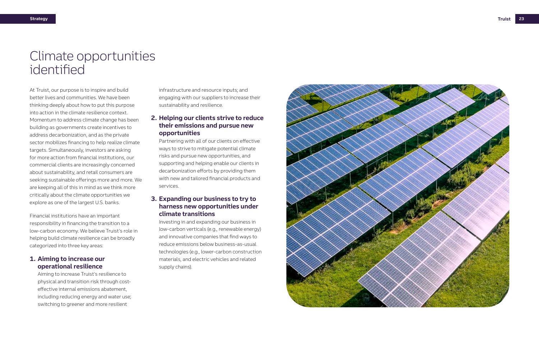At Truist, our purpose is to inspire and build better lives and communities. We have been thinking deeply about how to put this purpose into action in the climate resilience context. Momentum to address climate change has been building as governments create incentives to address decarbonization, and as the private sector mobilizes financing to help realize climate targets. Simultaneously, investors are asking for more action from financial institutions, our commercial clients are increasingly concerned about sustainability, and retail consumers are seeking sustainable offerings more and more. We are keeping all of this in mind as we think more critically about the climate opportunities we explore as one of the largest U.S. banks.

Financial institutions have an important responsibility in financing the transition to a low-carbon economy. We believe Truist's role in helping build climate resilience can be broadly categorized into three key areas:

### **1. Aiming to increase our operational resilience**

Aiming to increase Truist's resilience to physical and transition risk through costeffective internal emissions abatement, including reducing energy and water use; switching to greener and more resilient

infrastructure and resource inputs; and engaging with our suppliers to increase their sustainability and resilience.

### **2. Helping our clients strive to reduce their emissions and pursue new opportunities**

Partnering with all of our clients on effective ways to strive to mitigate potential climate risks and pursue new opportunities, and supporting and helping enable our clients in decarbonization efforts by providing them with new and tailored financial products and services.

### **3. Expanding our business to try to harness new opportunities under climate transitions**

Investing in and expanding our business in low-carbon verticals (e.g., renewable energy) and innovative companies that find ways to reduce emissions below business-as-usual technologies (e.g., lower-carbon construction materials, and electric vehicles and related supply chains).



## Climate opportunities identified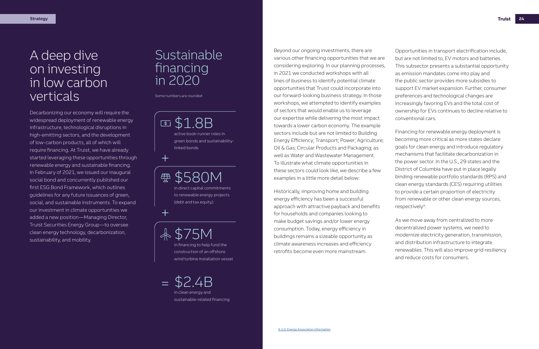## Sustainable financing in 2020

Some numbers are rounded

\$2.4B in clean energy and sustainable-related financing =

\$1.8B  $\sqrt{s}$ active book-runner roles in green bonds and sustainabilitylinked bonds

+

⊕

+

\$580M in direct capital commitments to renewable energy projects (debt and tax equity)

\$75M in financing to help fund the construction of an offshore

wind turbine installation vessel

## A deep dive on investing in low carbon verticals

Decarbonizing our economy will require the widespread deployment of renewable energy infrastructure, technological disruptions in high-emitting sectors, and the development of low-carbon products, all of which will require financing. At Truist, we have already started leveraging these opportunities through renewable energy and sustainable financing. In February of 2021, we issued our inaugural social bond and concurrently published our first ESG Bond Framework, which outlines guidelines for any future issuances of green, social, and sustainable instruments. To expand our investment in climate opportunities we added a new position—Managing Director, Truist Securities Energy Group—to oversee clean energy technology, decarbonization, sustainability, and mobility.

Financing for renewable energy deployment is becoming more critical as more states declare goals for clean energy and introduce regulatory mechanisms that facilitate decarbonization in the power sector. In the U.S., 29 states and the District of Columbia have put in place legally binding renewable portfolio standards (RPS) and clean energy standards (CES) requiring utilities to provide a certain proportion of electricity from renewable or other clean energy sources, respectively<sup>9</sup>.

Opportunities in transport electrification include, but are not limited to, EV motors and batteries. This subsector presents a substantial opportunity as emission mandates come into play and the public sector provides more subsidies to support EV market expansion. Further, consumer preferences and technological changes are increasingly favoring EVs and the total cost of ownership for EVs continues to decline relative to conventional cars.

As we move away from centralized to more decentralized power systems, we need to modernize electricity generation, transmission, and distribution infrastructure to integrate renewables. This will also improve grid resiliency and reduce costs for consumers.

Beyond our ongoing investments, there are various other financing opportunities that we are considering exploring. In our planning processes, in 2021 we conducted workshops with all lines of business to identify potential climate opportunities that Truist could incorporate into our forward-looking business strategy. In those workshops, we attempted to identify examples of sectors that would enable us to leverage our expertise while delivering the most impact towards a lower carbon economy. The example sectors include but are not limited to Building Energy Efficiency; Transport; Power; Agriculture; Oil & Gas; Circular Products and Packaging; as well as Water and Wastewater Management. To illustrate what climate opportunities in these sectors could look like, we describe a few examples in a little more detail below:

Historically, improving home and building energy efficiency has been a successful approach with attractive payback and benefits for households and companies looking to make budget savings and/or lower energy consumption. Today, energy efficiency in buildings remains a sizeable opportunity as climate awareness increases and efficiency retrofits become even more mainstream.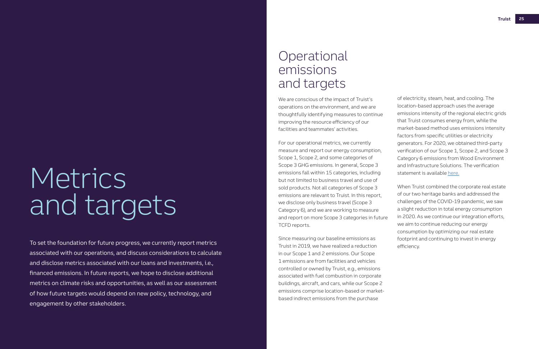# Metrics and targets

## **Operational** emissions and targets

To set the foundation for future progress, we currently report metrics associated with our operations, and discuss considerations to calculate and disclose metrics associated with our loans and investments, i.e., financed emissions. In future reports, we hope to disclose additional metrics on climate risks and opportunities, as well as our assessment of how future targets would depend on new policy, technology, and engagement by other stakeholders.

We are conscious of the impact of Truist's operations on the environment, and we are thoughtfully identifying measures to continue improving the resource efficiency of our facilities and teammates' activities.

For our operational metrics, we currently measure and report our energy consumption, Scope 1, Scope 2, and some categories of Scope 3 GHG emissions. In general, Scope 3 emissions fall within 15 categories, including but not limited to business travel and use of sold products. Not all categories of Scope 3 emissions are relevant to Truist. In this report, we disclose only business travel (Scope 3 Category 6), and we are working to measure and report on more Scope 3 categories in future TCFD reports.

Since measuring our baseline emissions as Truist in 2019, we have realized a reduction in our Scope 1 and 2 emissions. Our Scope 1 emissions are from facilities and vehicles controlled or owned by Truist, e.g., emissions associated with fuel combustion in corporate buildings, aircraft, and cars, while our Scope 2 emissions comprise location-based or marketbased indirect emissions from the purchase

of electricity, steam, heat, and cooling. The location-based approach uses the average emissions intensity of the regional electric grids that Truist consumes energy from, while the market-based method uses emissions intensity factors from specific utilities or electricity generators. For 2020, we obtained third-party verification of our Scope 1, Scope 2, and Scope 3 Category 6 emissions from Wood Environment and Infrastructure Solutions. The verification statement is available [here.](https://ir.truist.com/image/Truist+2020+GHG+Inventory+Assurance+Statement_14July2021.pdf)

When Truist combined the corporate real estate of our two heritage banks and addressed the challenges of the COVID-19 pandemic, we saw a slight reduction in total energy consumption in 2020. As we continue our integration efforts, we aim to continue reducing our energy consumption by optimizing our real estate footprint and continuing to invest in energy efficiency.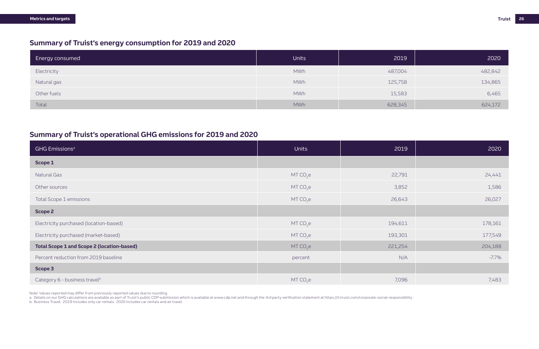| <b>Energy consumed</b> | <b>Units</b> | 2019    | 2020    |
|------------------------|--------------|---------|---------|
| Electricity            | <b>MWh</b>   | 487,004 | 482,842 |
| Natural gas            | <b>MWh</b>   | 125,758 | 134,865 |
| Other fuels            | <b>MWh</b>   | 15,583  | 6,465   |
| Total                  | <b>MWh</b>   | 628,345 | 624,172 |

## **Summary of Truist's energy consumption for 2019 and 2020**

### **Summary of Truist's operational GHG emissions for 2019 and 2020**

| <b>GHG Emissions<sup>a</sup></b>                  | <b>Units</b> | 2019    | 2020     |
|---------------------------------------------------|--------------|---------|----------|
| Scope 1                                           |              |         |          |
| Natural Gas                                       | $MT CO2$ e   | 22,791  | 24,441   |
| Other sources                                     | $MT CO2$ e   | 3,852   | 1,586    |
| Total Scope 1 emissions                           | $MT CO2$ e   | 26,643  | 26,027   |
| <b>Scope 2</b>                                    |              |         |          |
| Electricity purchased (location-based)            | $MT CO2$ e   | 194,611 | 178,161  |
| Electricity purchased (market-based)              | $MT CO2$ e   | 193,301 | 177,549  |
| <b>Total Scope 1 and Scope 2 (location-based)</b> | $MT CO2$ e   | 221,254 | 204,188  |
| Percent reduction from 2019 baseline              | percent      | N/A     | $-7.7\%$ |
| Scope 3                                           |              |         |          |
| Category 6 - business travel <sup>b</sup>         | $MT CO2$ e   | 7,096   | 7,483    |

a. Details on our GHG calculations are available as part of Truist's public CDP submission which is available at www.cdp.net and through the 3rd party verification statement at https://ir.truist.com/corporate-social-respon b. Business Travel. 2019 includes only car rentals. 2020 includes car rentals and air travel.

Note: Values reported may differ from previously reported values due to rounding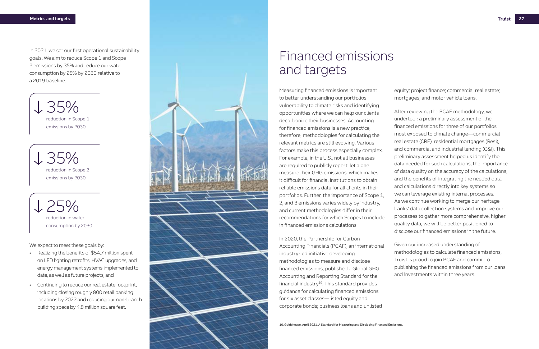

Measuring financed emissions is important to better understanding our portfolios' vulnerability to climate risks and identifying opportunities where we can help our clients decarbonize their businesses. Accounting for financed emissions is a new practice, therefore, methodologies for calculating the relevant metrics are still evolving. Various factors make this process especially complex. For example, in the U.S., not all businesses are required to publicly report, let alone measure their GHG emissions, which makes it difficult for financial institutions to obtain reliable emissions data for all clients in their portfolios. Further, the importance of Scope 1, 2, and 3 emissions varies widely by industry, and current methodologies differ in their recommendations for which Scopes to include in financed emissions calculations.

In 2020, the Partnership for Carbon Accounting Financials (PCAF), an international industry-led initiative developing methodologies to measure and disclose financed emissions, published a Global GHG Accounting and Reporting Standard for the financial industry<sup>10</sup>. This standard provides guidance for calculating financed emissions for six asset classes—listed equity and corporate bonds; business loans and unlisted

equity; project finance; commercial real estate; mortgages; and motor vehicle loans.

- Realizing the benefits of \$54.7 million spent on LED lighting retrofits, HVAC upgrades, and energy management systems implemented to date, as well as future projects, and
- Continuing to reduce our real estate footprint, including closing roughly 800 retail banking locations by 2022 and reducing our non-branch building space by 4.8 million square feet.

L 35% reduction in Scope 1 emissions by 2030

 $125%$ reduction in water consumption by 2030

We expect to meet these goals by:

After reviewing the PCAF methodology, we undertook a preliminary assessment of the financed emissions for three of our portfolios most exposed to climate change—commercial real estate (CRE), residential mortgages (Resi), and commercial and industrial lending (C&I). This preliminary assessment helped us identify the data needed for such calculations, the importance of data quality on the accuracy of the calculations, and the benefits of integrating the needed data and calculations directly into key systems so we can leverage existing internal processes. As we continue working to merge our heritage banks' data collection systems and improve our processes to gather more comprehensive, higher quality data, we will be better positioned to disclose our financed emissions in the future.

Given our increased understanding of methodologies to calculate financed emissions, Truist is proud to join PCAF and commit to publishing the financed emissions from our loans and investments within three years.

## Financed emissions and targets

10. Guidehouse. April 2021. A Standard for Measuring and Disclosing Financed Emissions.

In 2021, we set our first operational sustainability goals. We aim to reduce Scope 1 and Scope 2 emissions by 35% and reduce our water consumption by 25% by 2030 relative to a 2019 baseline.

35% reduction in Scope 2 emissions by 2030